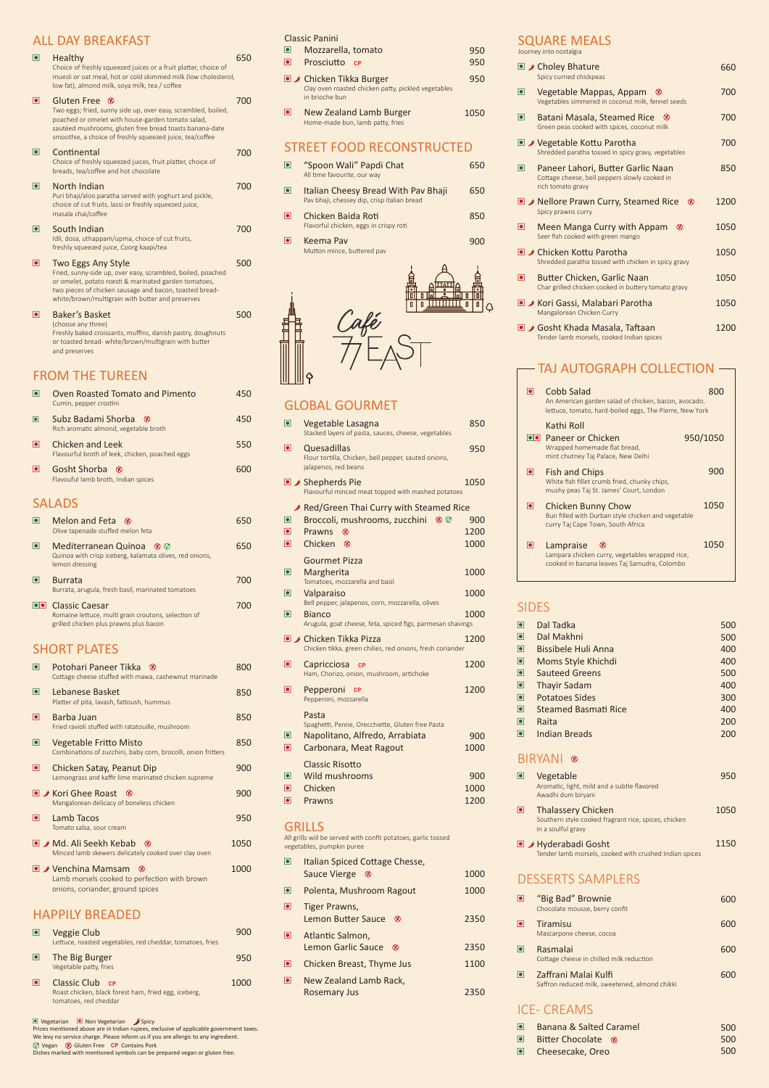## FROM THE TUREEN

- $\Box$  Md. Ali Seekh Kebab  $\Diamond$ Minced lamb skewers delicately cooked over clay oven
- $\bullet$  / Venchina Mamsam  $\bullet$ Lamb morsels cooked to perfection with brown onions, coriander, ground spices

#### ALL DAY BREAKFAST

| $\overline{\phantom{a}}$ | Healthy<br>Choice of freshly squeezed juices or a fruit platter, choice of<br>muesli or oat meal, hot or cold skimmed milk (low cholesterol,<br>low fat), almond milk, soya milk, tea / coffee                                                                         | 650 |
|--------------------------|------------------------------------------------------------------------------------------------------------------------------------------------------------------------------------------------------------------------------------------------------------------------|-----|
| $\overline{\bullet}$     | <b>Gluten Free</b><br>- ⊗<br>Two eggs; fried, sunny side up, over easy, scrambled, boiled,<br>poached or omelet with house-garden tomato salad,<br>sautéed mushrooms, gluten free bread toasts banana-date<br>smoothie, a choice of freshly squeezed juice, tea/coffee | 700 |
| $\overline{\bullet}$     | Continental<br>Choice of freshly squeezed juices, fruit platter, choice of<br>breads, tea/coffee and hot chocolate                                                                                                                                                     | 700 |
| 0                        | North Indian<br>Puri bhaji/aloo paratha served with yoghurt and pickle,<br>choice of cut fruits, lassi or freshly squeezed juice,<br>masala chai/coffee                                                                                                                | 700 |
| $\overline{\textbf{o}}$  | South Indian<br>Idli, dosa, uthappam/upma, choice of cut fruits,<br>freshly squeezed juice, Coorg kaapi/tea                                                                                                                                                            | 700 |
| $\overline{\bullet}$     | Two Eggs Any Style<br>Fried, sunny-side up, over easy, scrambled, boiled, poached<br>or omelet, potato roesti & marinated garden tomatoes,<br>two pieces of chicken sausage and bacon, toasted bread-<br>white/brown/multigrain with butter and preserves              | 500 |
| $\overline{\bullet}$     | <b>Baker's Basket</b><br>(choose any three)<br>Freshly baked croissants, muffins, danish pastry, doughnuts<br>or toasted bread- white/brown/multigrain with butter<br>and preserves                                                                                    | 500 |
|                          | TUE TURFEN                                                                                                                                                                                                                                                             |     |

## SHORT PLATES

|                | Oven Roasted Tomato and Pimento<br>Cumin, pepper crostini                |     |
|----------------|--------------------------------------------------------------------------|-----|
| o              | Subz Badami Shorba <sup>8</sup><br>Rich aromatic almond, vegetable broth |     |
| $\blacksquare$ | Chicken and Leek<br>Flavourful broth of leek, chicken, poached eggs      | 550 |
| $\blacksquare$ | Gosht Shorba <sup>®</sup><br>Flavouful lamb broth, Indian spices         |     |
|                | $\sim$ $\sim$ $\sim$ $\sim$                                              |     |

#### **SALADS**

|             | Melon and Feta <sup>®</sup><br>Olive tapenade stuffed melon feta                                                          |  |
|-------------|---------------------------------------------------------------------------------------------------------------------------|--|
| $ \bullet $ | Mediterranean Quinoa <sup>8</sup><br>Quinoa with crisp iceberg, kalamata olives, red onions,<br>lemon dressing            |  |
|             | <b>Burrata</b><br>Burrata, arugula, fresh basil, marinated tomatoes                                                       |  |
|             | <b>OD</b> Classic Caesar<br>Romaine lettuce, multi grain croutons, selection of<br>grilled chicken plus prawns plus bacon |  |

- Italian Spiced Cottage Chesse, Sauce Vierge <sup>®</sup>
- Polenta, Mushroom Ragout
- **e** Tiger Prawns, Lemon Butter Sauce <sup>8</sup>
- **e** Atlantic Salmon, Lemon Garlic Sauce <sup>8</sup>
- Chicken Breast, Thyme Jus
- **e** New Zealand Lamb Rack, Rosemary Jus

Tomato salsa, sour cream

| $\blacksquare$ | Potohari Paneer Tikka <sup>8</sup><br>Cottage cheese stuffed with mawa, cashewnut marinade     |     |
|----------------|------------------------------------------------------------------------------------------------|-----|
| $\blacksquare$ | Lebanese Basket<br>Platter of pita, lavash, fattoush, hummus                                   | 850 |
| $\blacksquare$ | Barba Juan<br>Fried ravioli stuffed with ratatouille, mushroom                                 | 850 |
| $\blacksquare$ | <b>Vegetable Fritto Misto</b><br>Combinations of zucchini, baby corn, brocolli, onion fritters | 850 |
| $\blacksquare$ | Chicken Satay, Peanut Dip<br>Lemongrass and kaffir lime marinated chicken supreme              | 900 |
|                | ■ Kori Ghee Roast<br>$\infty$<br>Mangalorean delicacy of boneless chicken                      | 900 |
| D              | Lamb Tacos                                                                                     |     |

## HAPPILY BREADED

- <sup>e</sup> Veggie Club Lettuce, roasted vegetables, red cheddar, tomatoes, fries
- **e** The Big Burger Vegetable patty, fries
- **e** Classic Club cr Roast chicken, black forest ham, fried egg, iceberg, tomatoes, red cheddar

**e** Vegetarian **e** Non Vegetarian Spicy Prices mentioned above are in Indian rupees, exclusive of applicable government taxes. We levy no service charge. Please inform us if you are allergic to any ingredient.  $\oslash$  Vegan  $\enspace$  **G** Gluten Free  $\enspace$  **CP** Contains Pork<br>Dishes marked with mentioned symbols can be prepared vegan or gluten free.

#### **GRILLS**

1050

1000

900

950

**CP** 1000

#### Classic Panini

| $\overline{\mathbf{C}}$<br>$\blacksquare$ | Mozzarella, tomato<br>Prosciutto cp                                                                      | 950<br>950 |
|-------------------------------------------|----------------------------------------------------------------------------------------------------------|------------|
|                                           | ■ <i>J</i> Chicken Tikka Burger<br>Clay oven roasted chicken patty, pickled vegetables<br>in brioche bun | 950        |
| $\overline{\bullet}$                      | New Zealand Lamb Burger<br>Home-made bun, lamb patty, fries                                              | 1050       |
|                                           | STREET FOOD RECONSTRUCTED                                                                                |            |
| 0                                         | "Spoon Wali" Papdi Chat<br>All time favourite, our way                                                   | 650        |
| $\blacksquare$                            | Italian Cheesy Bread With Pav Bhaji<br>Pav bhaji, chessey dip, crisp italian bread                       | 650        |
| $\blacksquare$                            | Chicken Baida Roti<br>Flavorful chicken, eggs in crispy roti                                             | 850        |
| $\blacksquare$                            | Keema Pav<br>Mutton mince, buttered pav                                                                  | 900        |
|                                           |                                                                                                          |            |

# Café<br>71 – ^

## GLOBAL GOURMET

| $\blacksquare$ | Banana & Salted Caramel       | 500 |
|----------------|-------------------------------|-----|
| $\blacksquare$ | Bitter Chocolate <sup>®</sup> | 500 |
|                | □ Cheesecake, Oreo            | 500 |

■ Hyderabadi Gosht Tender lamb morsels, cooked with crushed Indian spices 1150

| $\overline{\bullet}$ | Vegetable Lasagna<br>Stacked layers of pasta, sauces, cheese, vegetables                    | 850  |
|----------------------|---------------------------------------------------------------------------------------------|------|
| $\blacksquare$       | Quesadillas<br>Flour tortilla, Chicken, bell pepper, sauted onions,<br>jalapenos, red beans | 950  |
|                      | <b>■ /</b> Shepherds Pie<br>Flavourful minced meat topped with mashed potatoes              | 1050 |
|                      | Red/Green Thai Curry with Steamed Rice                                                      |      |
| $\blacksquare$       | Broccoli, mushrooms, zucchini                                                               | 900  |
| $\boxed{\bullet}$    | ⊗<br>Prawns                                                                                 | 1200 |
| $\blacksquare$       | Chicken <sup>®</sup>                                                                        | 1000 |
|                      | <b>Gourmet Pizza</b>                                                                        |      |
| O                    | Margherita                                                                                  | 1000 |
|                      | Tomatoes, mozzarella and basil                                                              |      |
| O                    | Valparaiso<br>Bell pepper, jalapenos, corn, mozzarella, olives                              | 1000 |
| O                    | Bianco                                                                                      | 1000 |
|                      | Arugula, goat cheese, feta, spiced figs, parmesan shavings                                  |      |
|                      | <b>■ J</b> Chicken Tikka Pizza<br>Chicken tikka, green chilies, red onions, fresh coriander | 1200 |
| $\overline{\bullet}$ | Capricciosa<br><b>CP</b><br>Ham, Chorizo, onion, mushroom, artichoke                        | 1200 |
| $\blacksquare$       | Pepperoni<br><b>CP</b><br>Pepperoni, mozzarella                                             | 1200 |
|                      | Pasta<br>Spaghetti, Penne, Orecchiette, Gluten free Pasta                                   |      |
| $\blacksquare$       | Napolitano, Alfredo, Arrabiata                                                              | 900  |
| $\overline{\bullet}$ | Carbonara, Meat Ragout                                                                      | 1000 |
|                      | <b>Classic Risotto</b>                                                                      |      |
| $\blacksquare$       | Wild mushrooms                                                                              | 900  |
| $\overline{\bullet}$ | Chicken                                                                                     | 1000 |
| $\overline{\bullet}$ | Prawns                                                                                      | 1200 |
|                      |                                                                                             |      |

All grills will be served with confit potatoes, garlic tossed vegetables, pumpkin puree

> 1000 1000

> 2350

2350 1100

2350

#### SQUARE MEALS

Journey into nostalgia

| © Choley Bhature         | Spicy curried chickpeas                                                                                 | 660  |
|--------------------------|---------------------------------------------------------------------------------------------------------|------|
| $\overline{\phantom{a}}$ | Vegetable Mappas, Appam<br>$\infty$<br>Vegetables simmered in coconut milk, fennel seeds                | 700  |
| $\overline{\bullet}$     | Batani Masala, Steamed Rice<br>Green peas cooked with spices, coconut milk                              | 700  |
|                          | <b>■ / Vegetable Kottu Parotha</b><br>Shredded paratha tossed in spicy gravy, vegetables                | 700  |
| $\overline{\phantom{a}}$ | Paneer Lahori, Butter Garlic Naan<br>Cottage cheese, bell peppers slowly cooked in<br>rich tomato gravy | 850  |
|                          | ■ A Nellore Prawn Curry, Steamed Rice<br>$\infty$<br>Spicy prawns curry                                 | 1200 |
| $\overline{\bullet}$     | Meen Manga Curry with Appam<br>$\infty$<br>Seer fish cooked with green mango                            | 1050 |
|                          | ■ J Chicken Kottu Parotha<br>Shredded paratha tossed with chicken in spicy gravy                        | 1050 |
| $\blacksquare$           | Butter Chicken, Garlic Naan<br>Char grilled chicken cooked in buttery tomato gravy                      | 1050 |
|                          | ■ Kori Gassi, Malabari Parotha<br>Mangalorean Chicken Curry                                             | 1050 |
| $\bullet$ )              | Gosht Khada Masala, Taftaan<br>Tender lamb morsels, cooked Indian spices                                | 1200 |

# - TAJ AUTOGRAPH COLLECTION -

|             | Cobb Salad<br>An American garden salad of chicken, bacon, avocado,<br>lettuce, tomato, hard-boiled eggs, The Pierre, New York |          |
|-------------|-------------------------------------------------------------------------------------------------------------------------------|----------|
|             | Kathi Roll<br><b>OO</b> Paneer or Chicken<br>Wrapped homemade flat bread,<br>mint chutney Taj Palace, New Delhi               | 950/1050 |
| $ \bullet $ | <b>Fish and Chips</b><br>White fish fillet crumb fried, chunky chips,<br>mushy peas Taj St. James' Court, London              | 900      |
| ЮI          | <b>Chicken Bunny Chow</b><br>Bun filled with Durban style chicken and vegetable<br>curry Taj Cape Town, South Africa          | 1050     |
| О           | Lampraise<br>∾<br>Lampara chicken curry, vegetables wrapped rice,<br>cooked in banana leaves Taj Samudra, Colombo             | 1050     |

## SIDES

in a soulful gravy

| $\blacksquare$           | Dal Tadka             | 500 |
|--------------------------|-----------------------|-----|
| $\blacksquare$           | Dal Makhni            | 500 |
| $\blacksquare$           | Bissibele Huli Anna   | 400 |
| $\Box$                   | Moms Style Khichdi    | 400 |
| $\blacksquare$           | <b>Sauteed Greens</b> | 500 |
| $\Box$                   | <b>Thayir Sadam</b>   | 400 |
| $\blacksquare$           | <b>Potatoes Sides</b> | 300 |
| $\blacksquare$           | Steamed Basmati Rice  | 400 |
| $\blacksquare$           | Raita                 | 200 |
| $\overline{\phantom{a}}$ | Indian Breads         | 200 |
|                          |                       |     |

#### BIRYANI <sup>®</sup>

## DESSERTS SAMPLERS

| $\blacksquare$ | Vegetable<br>Aromatic, light, mild and a subtle flavored<br>Awadhi dum biryani    | 950  |
|----------------|-----------------------------------------------------------------------------------|------|
| $\blacksquare$ | <b>Thalassery Chicken</b><br>Southern style cooked fragrant rice, spices, chicken | 1050 |

- <sup>e</sup> "Big Bad" Brownie Chocolate mousse, berry confit **e** Tiramisu Mascarpone cheese, cocoa 600 600 600
- **e** Rasmalai Cottage cheese in chilled milk reduction
- **e** Zaffrani Malai Kulfi Saffron reduced milk, sweetened, almond chikki

### ICE- CREAMS

600